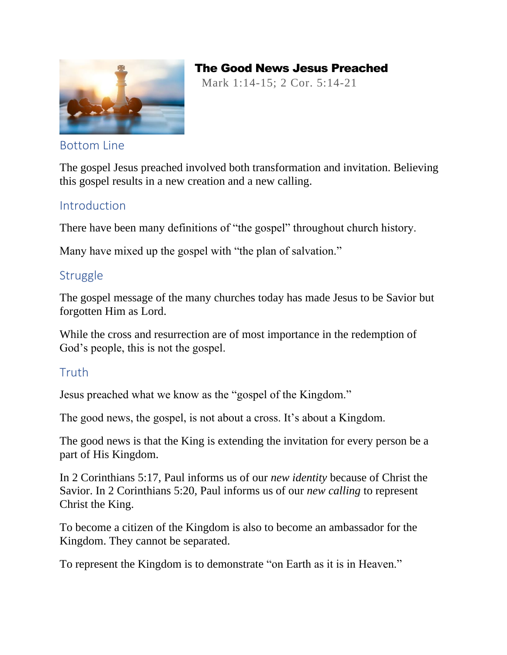

# The Good News Jesus Preached

Mark 1:14-15; 2 Cor. 5:14-21

#### Bottom Line

The gospel Jesus preached involved both transformation and invitation. Believing this gospel results in a new creation and a new calling.

# Introduction

There have been many definitions of "the gospel" throughout church history.

Many have mixed up the gospel with "the plan of salvation."

# **Struggle**

The gospel message of the many churches today has made Jesus to be Savior but forgotten Him as Lord.

While the cross and resurrection are of most importance in the redemption of God's people, this is not the gospel.

## **Truth**

Jesus preached what we know as the "gospel of the Kingdom."

The good news, the gospel, is not about a cross. It's about a Kingdom.

The good news is that the King is extending the invitation for every person be a part of His Kingdom.

In 2 Corinthians 5:17, Paul informs us of our *new identity* because of Christ the Savior. In 2 Corinthians 5:20, Paul informs us of our *new calling* to represent Christ the King.

To become a citizen of the Kingdom is also to become an ambassador for the Kingdom. They cannot be separated.

To represent the Kingdom is to demonstrate "on Earth as it is in Heaven."